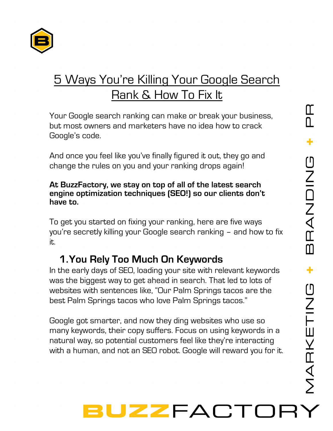

### 5 Ways You're Killing Your Google Search Rank & How To Fix It

Your Google search ranking can make or break your business, but most owners and marketers have no idea how to crack Google's code.

And once you feel like you've finally figured it out, they go and change the rules on you and your ranking drops again!

#### **At BuzzFactory, we stay on top of all of the latest search engine optimization techniques (SEO!) so our clients don't have to.**

To get you started on fixing your ranking, here are five ways you're secretly killing your Google search ranking – and how to fix it.

#### **1.You Rely Too Much On Keywords**

In the early days of SEO, loading your site with relevant keywords was the biggest way to get ahead in search. That led to lots of websites with sentences like, "Our Palm Springs tacos are the best Palm Springs tacos who love Palm Springs tacos."

Google got smarter, and now they ding websites who use so many keywords, their copy suffers. Focus on using keywords in a natural way, so potential customers feel like they're interacting with a human, and not an SEO robot. Google will reward you for it.

# UZZFACT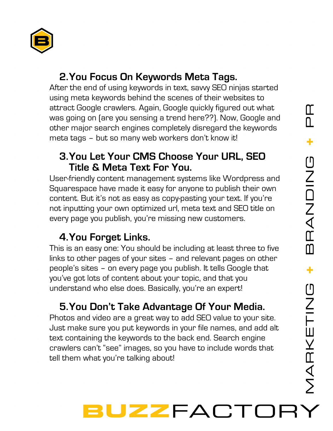

#### **2.You Focus On Keywords Meta Tags.**

After the end of using keywords in text, savvy SEO ninjas started using meta keywords behind the scenes of their websites to attract Google crawlers. Again, Google quickly figured out what was going on (are you sensing a trend here??). Now, Google and other major search engines completely disregard the keywords meta tags – but so many web workers don't know it!

#### **3.You Let Your CMS Choose Your URL, SEO Title & Meta Text For You.**

User-friendly content management systems like Wordpress and Squarespace have made it easy for anyone to publish their own content. But it's not as easy as copy-pasting your text. If you're not inputting your own optimized url, meta text and SEO title on every page you publish, you're missing new customers.

#### **4.You Forget Links.**

This is an easy one: You should be including at least three to five links to other pages of your sites – and relevant pages on other people's sites – on every page you publish. It tells Google that you've got lots of content about your topic, and that you understand who else does. Basically, you're an expert!

#### **5.You Don't Take Advantage Of Your Media.**

Photos and video are a great way to add SEO value to your site. Just make sure you put keywords in your file names, and add alt text containing the keywords to the back end. Search engine crawlers can't "see" images, so you have to include words that tell them what you're talking about!

## UZZFACT